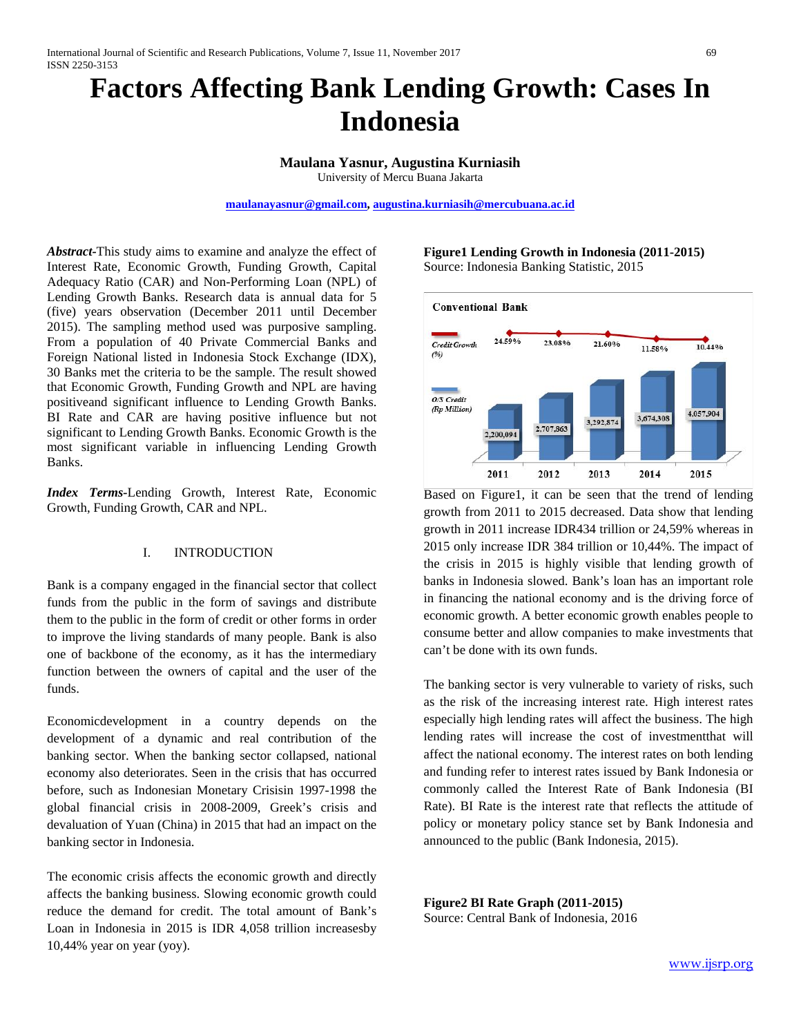# **Factors Affecting Bank Lending Growth: Cases In Indonesia**

**Maulana Yasnur, Augustina Kurniasih** University of Mercu Buana Jakarta

**[maulanayasnur@gmail.com,](mailto:maulanayasnur@gmail.com) [augustina.kurniasih@mercubuana.ac.id](mailto:augustina.kurniasih@mercubuana.ac.id)**

*Abstract-*This study aims to examine and analyze the effect of Interest Rate, Economic Growth, Funding Growth, Capital Adequacy Ratio (CAR) and Non-Performing Loan (NPL) of Lending Growth Banks. Research data is annual data for 5 (five) years observation (December 2011 until December 2015). The sampling method used was purposive sampling. From a population of 40 Private Commercial Banks and Foreign National listed in Indonesia Stock Exchange (IDX), 30 Banks met the criteria to be the sample. The result showed that Economic Growth, Funding Growth and NPL are having positiveand significant influence to Lending Growth Banks. BI Rate and CAR are having positive influence but not significant to Lending Growth Banks. Economic Growth is the most significant variable in influencing Lending Growth Banks.

*Index Terms-*Lending Growth, Interest Rate, Economic Growth, Funding Growth, CAR and NPL.

### I. INTRODUCTION

Bank is a company engaged in the financial sector that collect funds from the public in the form of savings and distribute them to the public in the form of credit or other forms in order to improve the living standards of many people. Bank is also one of backbone of the economy, as it has the intermediary function between the owners of capital and the user of the funds.

Economicdevelopment in a country depends on the development of a dynamic and real contribution of the banking sector. When the banking sector collapsed, national economy also deteriorates. Seen in the crisis that has occurred before, such as Indonesian Monetary Crisisin 1997-1998 the global financial crisis in 2008-2009, Greek's crisis and devaluation of Yuan (China) in 2015 that had an impact on the banking sector in Indonesia.

The economic crisis affects the economic growth and directly affects the banking business. Slowing economic growth could reduce the demand for credit. The total amount of Bank's Loan in Indonesia in 2015 is IDR 4,058 trillion increasesby 10,44% year on year (yoy).

# **Figure1 Lending Growth in Indonesia (2011-2015)** Source: Indonesia Banking Statistic, 2015



Based on Figure1, it can be seen that the trend of lending growth from 2011 to 2015 decreased. Data show that lending growth in 2011 increase IDR434 trillion or 24,59% whereas in 2015 only increase IDR 384 trillion or 10,44%. The impact of the crisis in 2015 is highly visible that lending growth of banks in Indonesia slowed. Bank's loan has an important role in financing the national economy and is the driving force of economic growth. A better economic growth enables people to consume better and allow companies to make investments that can't be done with its own funds.

The banking sector is very vulnerable to variety of risks, such as the risk of the increasing interest rate. High interest rates especially high lending rates will affect the business. The high lending rates will increase the cost of investmentthat will affect the national economy. The interest rates on both lending and funding refer to interest rates issued by Bank Indonesia or commonly called the Interest Rate of Bank Indonesia (BI Rate). BI Rate is the interest rate that reflects the attitude of policy or monetary policy stance set by Bank Indonesia and announced to the public (Bank Indonesia, 2015).

**Figure2 BI Rate Graph (2011-2015)** Source: Central Bank of Indonesia, 2016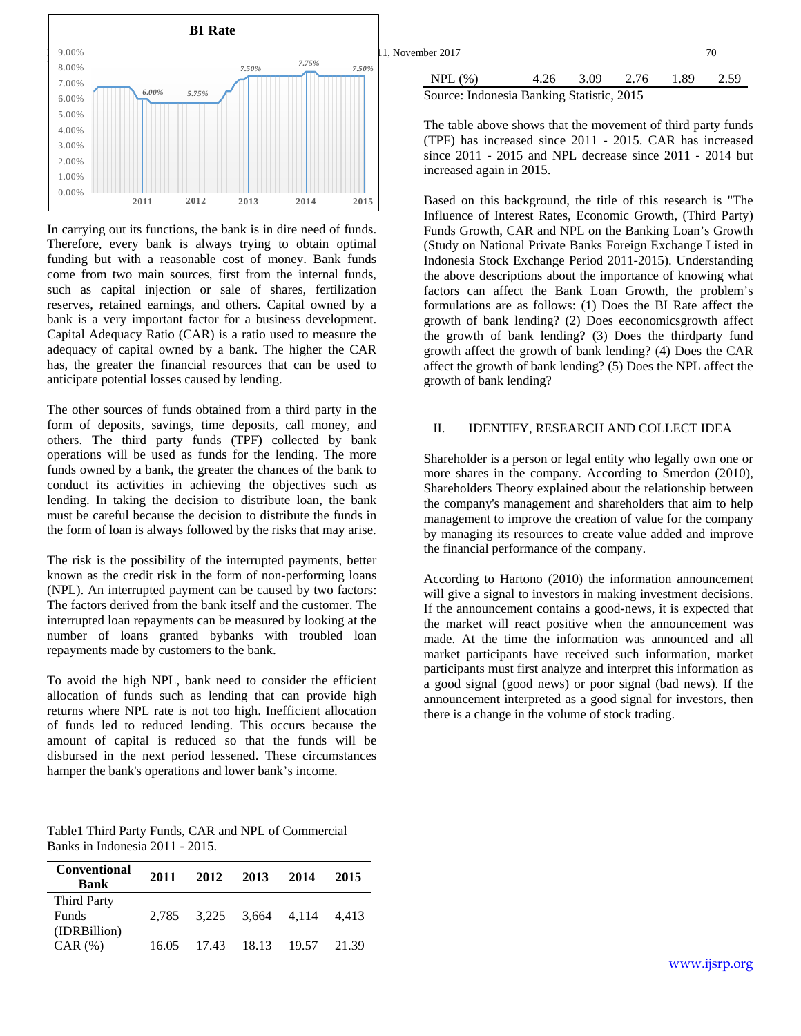

In carrying out its functions, the bank is in dire need of funds. Therefore, every bank is always trying to obtain optimal funding but with a reasonable cost of money. Bank funds come from two main sources, first from the internal funds, such as capital injection or sale of shares, fertilization reserves, retained earnings, and others. Capital owned by a bank is a very important factor for a business development. Capital Adequacy Ratio (CAR) is a ratio used to measure the adequacy of capital owned by a bank. The higher the CAR has, the greater the financial resources that can be used to anticipate potential losses caused by lending.

The other sources of funds obtained from a third party in the form of deposits, savings, time deposits, call money, and others. The third party funds (TPF) collected by bank operations will be used as funds for the lending. The more funds owned by a bank, the greater the chances of the bank to conduct its activities in achieving the objectives such as lending. In taking the decision to distribute loan, the bank must be careful because the decision to distribute the funds in the form of loan is always followed by the risks that may arise.

The risk is the possibility of the interrupted payments, better known as the credit risk in the form of non-performing loans (NPL). An interrupted payment can be caused by two factors: The factors derived from the bank itself and the customer. The interrupted loan repayments can be measured by looking at the number of loans granted bybanks with troubled loan repayments made by customers to the bank.

To avoid the high NPL, bank need to consider the efficient allocation of funds such as lending that can provide high returns where NPL rate is not too high. Inefficient allocation of funds led to reduced lending. This occurs because the amount of capital is reduced so that the funds will be disbursed in the next period lessened. These circumstances hamper the bank's operations and lower bank's income.

Table1 Third Party Funds, CAR and NPL of Commercial Banks in Indonesia 2011 - 2015.

| <b>Conventional</b><br><b>Bank</b> | 2011  | 2012 | 2013                    | 2014 | 2015  |
|------------------------------------|-------|------|-------------------------|------|-------|
| <b>Third Party</b><br><b>Funds</b> |       |      | 2,785 3,225 3,664 4,114 |      | 4.413 |
| (IDRBillion)<br>$CAR$ $(\% )$      | 16.05 |      | 17.43 18.13 19.57       |      | 21.39 |

|       |       | <b>BI</b> Rate |                |                                           |      |      |      |         |      |
|-------|-------|----------------|----------------|-------------------------------------------|------|------|------|---------|------|
| 9.00% |       |                |                | 11, November 2017                         |      |      |      |         | 70   |
| 8.00% |       | 7.50%          | 7.75%<br>7.50% | NPL(%)                                    | 4.26 | 3.09 | 2.76 | . 89. ، | 2.59 |
| 7.00% | 6.00% | 5.75%          |                |                                           |      |      |      |         |      |
| 6.00% |       |                |                | Source: Indonesia Banking Statistic, 2015 |      |      |      |         |      |
| 5.00% |       |                |                |                                           |      |      |      |         |      |

The table above shows that the movement of third party funds (TPF) has increased since 2011 - 2015. CAR has increased since 2011 - 2015 and NPL decrease since 2011 - 2014 but increased again in 2015.

Based on this background, the title of this research is "The Influence of Interest Rates, Economic Growth, (Third Party) Funds Growth, CAR and NPL on the Banking Loan's Growth (Study on National Private Banks Foreign Exchange Listed in Indonesia Stock Exchange Period 2011-2015). Understanding the above descriptions about the importance of knowing what factors can affect the Bank Loan Growth, the problem's formulations are as follows: (1) Does the BI Rate affect the growth of bank lending? (2) Does eeconomicsgrowth affect the growth of bank lending? (3) Does the thirdparty fund growth affect the growth of bank lending? (4) Does the CAR affect the growth of bank lending? (5) Does the NPL affect the growth of bank lending?

# II. IDENTIFY, RESEARCH AND COLLECT IDEA

Shareholder is a person or legal entity who legally own one or more shares in the company. According to Smerdon (2010), Shareholders Theory explained about the relationship between the company's management and shareholders that aim to help management to improve the creation of value for the company by managing its resources to create value added and improve the financial performance of the company.

According to Hartono (2010) the information announcement will give a signal to investors in making investment decisions. If the announcement contains a good-news, it is expected that the market will react positive when the announcement was made. At the time the information was announced and all market participants have received such information, market participants must first analyze and interpret this information as a good signal (good news) or poor signal (bad news). If the announcement interpreted as a good signal for investors, then there is a change in the volume of stock trading.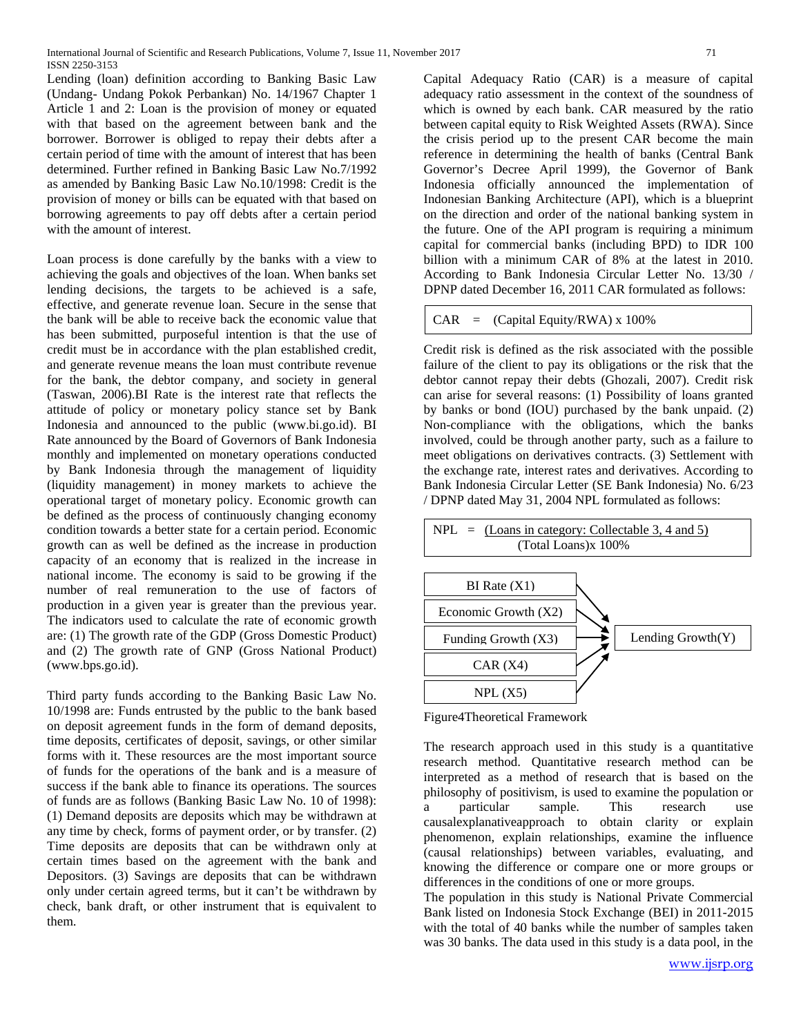Lending (loan) definition according to Banking Basic Law (Undang- Undang Pokok Perbankan) No. 14/1967 Chapter 1 Article 1 and 2: Loan is the provision of money or equated with that based on the agreement between bank and the borrower. Borrower is obliged to repay their debts after a certain period of time with the amount of interest that has been determined. Further refined in Banking Basic Law No.7/1992 as amended by Banking Basic Law No.10/1998: Credit is the provision of money or bills can be equated with that based on borrowing agreements to pay off debts after a certain period with the amount of interest.

Loan process is done carefully by the banks with a view to achieving the goals and objectives of the loan. When banks set lending decisions, the targets to be achieved is a safe, effective, and generate revenue loan. Secure in the sense that the bank will be able to receive back the economic value that has been submitted, purposeful intention is that the use of credit must be in accordance with the plan established credit, and generate revenue means the loan must contribute revenue for the bank, the debtor company, and society in general (Taswan, 2006).BI Rate is the interest rate that reflects the attitude of policy or monetary policy stance set by Bank Indonesia and announced to the public (www.bi.go.id). BI Rate announced by the Board of Governors of Bank Indonesia monthly and implemented on monetary operations conducted by Bank Indonesia through the management of liquidity (liquidity management) in money markets to achieve the operational target of monetary policy. Economic growth can be defined as the process of continuously changing economy condition towards a better state for a certain period. Economic growth can as well be defined as the increase in production capacity of an economy that is realized in the increase in national income. The economy is said to be growing if the number of real remuneration to the use of factors of production in a given year is greater than the previous year. The indicators used to calculate the rate of economic growth are: (1) The growth rate of the GDP (Gross Domestic Product) and (2) The growth rate of GNP (Gross National Product) (www.bps.go.id).

Third party funds according to the Banking Basic Law No. 10/1998 are: Funds entrusted by the public to the bank based on deposit agreement funds in the form of demand deposits, time deposits, certificates of deposit, savings, or other similar forms with it. These resources are the most important source of funds for the operations of the bank and is a measure of success if the bank able to finance its operations. The sources of funds are as follows (Banking Basic Law No. 10 of 1998): (1) Demand deposits are deposits which may be withdrawn at any time by check, forms of payment order, or by transfer. (2) Time deposits are deposits that can be withdrawn only at certain times based on the agreement with the bank and Depositors. (3) Savings are deposits that can be withdrawn only under certain agreed terms, but it can't be withdrawn by check, bank draft, or other instrument that is equivalent to them.

Capital Adequacy Ratio (CAR) is a measure of capital adequacy ratio assessment in the context of the soundness of which is owned by each bank. CAR measured by the ratio between capital equity to Risk Weighted Assets (RWA). Since the crisis period up to the present CAR become the main reference in determining the health of banks (Central Bank Governor's Decree April 1999), the Governor of Bank Indonesia officially announced the implementation of Indonesian Banking Architecture (API), which is a blueprint on the direction and order of the national banking system in the future. One of the API program is requiring a minimum capital for commercial banks (including BPD) to IDR 100 billion with a minimum CAR of 8% at the latest in 2010. According to Bank Indonesia Circular Letter No. 13/30 /

DPNP dated December 16, 2011 CAR formulated as follows:

```
CAR = (Capital Equity/RWA) \times 100\%
```
Credit risk is defined as the risk associated with the possible failure of the client to pay its obligations or the risk that the debtor cannot repay their debts (Ghozali, 2007). Credit risk can arise for several reasons: (1) Possibility of loans granted by banks or bond (IOU) purchased by the bank unpaid. (2) Non-compliance with the obligations, which the banks involved, could be through another party, such as a failure to meet obligations on derivatives contracts. (3) Settlement with the exchange rate, interest rates and derivatives. According to Bank Indonesia Circular Letter (SE Bank Indonesia) No. 6/23 / DPNP dated May 31, 2004 NPL formulated as follows:



Figure4Theoretical Framework

The research approach used in this study is a quantitative research method. Quantitative research method can be interpreted as a method of research that is based on the philosophy of positivism, is used to examine the population or a particular sample. This research use causalexplanativeapproach to obtain clarity or explain phenomenon, explain relationships, examine the influence (causal relationships) between variables, evaluating, and knowing the difference or compare one or more groups or differences in the conditions of one or more groups.

The population in this study is National Private Commercial Bank listed on Indonesia Stock Exchange (BEI) in 2011-2015 with the total of 40 banks while the number of samples taken was 30 banks. The data used in this study is a data pool, in the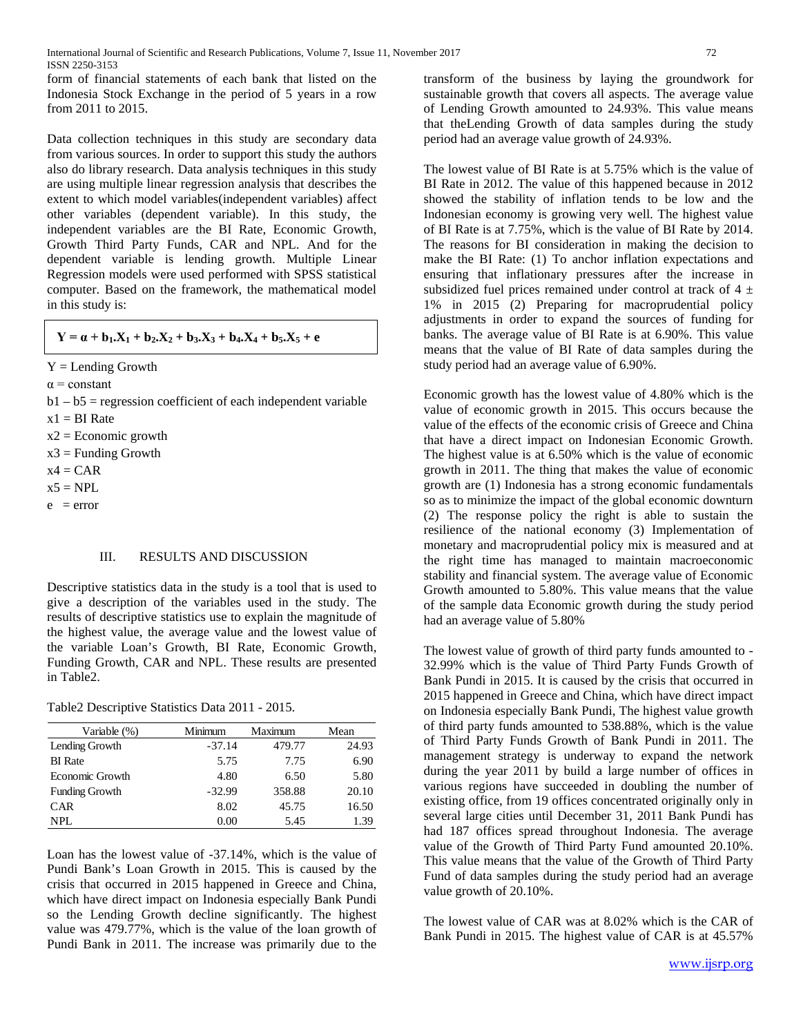form of financial statements of each bank that listed on the Indonesia Stock Exchange in the period of 5 years in a row from 2011 to 2015.

Data collection techniques in this study are secondary data from various sources. In order to support this study the authors also do library research. Data analysis techniques in this study are using multiple linear regression analysis that describes the extent to which model variables(independent variables) affect other variables (dependent variable). In this study, the independent variables are the BI Rate, Economic Growth, Growth Third Party Funds, CAR and NPL. And for the dependent variable is lending growth. Multiple Linear Regression models were used performed with SPSS statistical computer. Based on the framework, the mathematical model in this study is:

$$
Y = \alpha + b_1.X_1 + b_2.X_2 + b_3.X_3 + b_4.X_4 + b_5.X_5 + e
$$

- $Y =$  Lending Growth
- $\alpha$  = constant
- $b1 b5$  = regression coefficient of each independent variable
- $x1 = BI$  Rate
- $x2 =$  Economic growth
- $x3 =$  Funding Growth
- $x4 = CAR$
- $x5 = NPL$
- $e = error$

# III. RESULTS AND DISCUSSION

Descriptive statistics data in the study is a tool that is used to give a description of the variables used in the study. The results of descriptive statistics use to explain the magnitude of the highest value, the average value and the lowest value of the variable Loan's Growth, BI Rate, Economic Growth, Funding Growth, CAR and NPL. These results are presented in Table2.

# Table2 Descriptive Statistics Data 2011 - 2015.

| Variable (%)           | Minimum  | Maximum | Mean  |
|------------------------|----------|---------|-------|
| Lending Growth         | $-37.14$ | 479.77  | 24.93 |
| <b>BI</b> Rate         | 5.75     | 7.75    | 6.90  |
| <b>Economic Growth</b> | 4.80     | 6.50    | 5.80  |
| <b>Funding Growth</b>  | $-32.99$ | 358.88  | 20.10 |
| <b>CAR</b>             | 8.02     | 45.75   | 16.50 |
| NPL.                   | 0.00     | 5.45    | 1.39  |

Loan has the lowest value of -37.14%, which is the value of Pundi Bank's Loan Growth in 2015. This is caused by the crisis that occurred in 2015 happened in Greece and China, which have direct impact on Indonesia especially Bank Pundi so the Lending Growth decline significantly. The highest value was 479.77%, which is the value of the loan growth of Pundi Bank in 2011. The increase was primarily due to the

transform of the business by laying the groundwork for sustainable growth that covers all aspects. The average value of Lending Growth amounted to 24.93%. This value means that theLending Growth of data samples during the study period had an average value growth of 24.93%.

The lowest value of BI Rate is at 5.75% which is the value of BI Rate in 2012. The value of this happened because in 2012 showed the stability of inflation tends to be low and the Indonesian economy is growing very well. The highest value of BI Rate is at 7.75%, which is the value of BI Rate by 2014. The reasons for BI consideration in making the decision to make the BI Rate: (1) To anchor inflation expectations and ensuring that inflationary pressures after the increase in subsidized fuel prices remained under control at track of  $4 \pm$ 1% in 2015 (2) Preparing for macroprudential policy adjustments in order to expand the sources of funding for banks. The average value of BI Rate is at 6.90%. This value means that the value of BI Rate of data samples during the study period had an average value of 6.90%.

Economic growth has the lowest value of 4.80% which is the value of economic growth in 2015. This occurs because the value of the effects of the economic crisis of Greece and China that have a direct impact on Indonesian Economic Growth. The highest value is at 6.50% which is the value of economic growth in 2011. The thing that makes the value of economic growth are (1) Indonesia has a strong economic fundamentals so as to minimize the impact of the global economic downturn (2) The response policy the right is able to sustain the resilience of the national economy (3) Implementation of monetary and macroprudential policy mix is measured and at the right time has managed to maintain macroeconomic stability and financial system. The average value of Economic Growth amounted to 5.80%. This value means that the value of the sample data Economic growth during the study period had an average value of 5.80%

The lowest value of growth of third party funds amounted to - 32.99% which is the value of Third Party Funds Growth of Bank Pundi in 2015. It is caused by the crisis that occurred in 2015 happened in Greece and China, which have direct impact on Indonesia especially Bank Pundi, The highest value growth of third party funds amounted to 538.88%, which is the value of Third Party Funds Growth of Bank Pundi in 2011. The management strategy is underway to expand the network during the year 2011 by build a large number of offices in various regions have succeeded in doubling the number of existing office, from 19 offices concentrated originally only in several large cities until December 31, 2011 Bank Pundi has had 187 offices spread throughout Indonesia. The average value of the Growth of Third Party Fund amounted 20.10%. This value means that the value of the Growth of Third Party Fund of data samples during the study period had an average value growth of 20.10%.

The lowest value of CAR was at 8.02% which is the CAR of Bank Pundi in 2015. The highest value of CAR is at 45.57%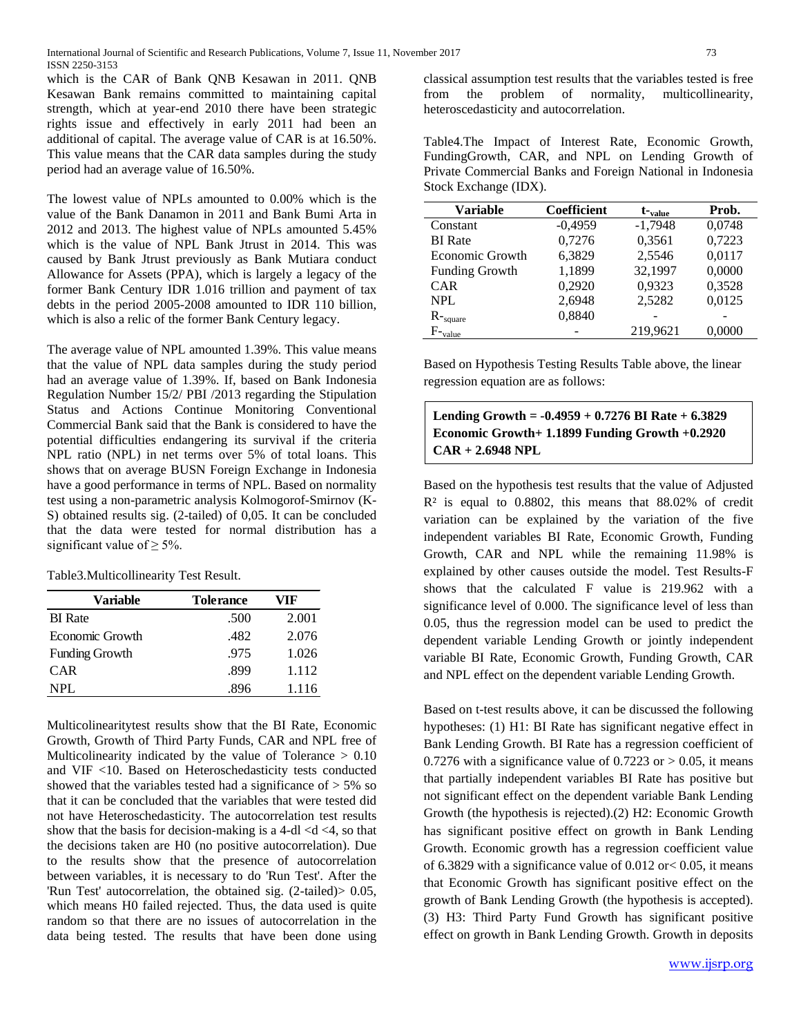which is the CAR of Bank QNB Kesawan in 2011. QNB Kesawan Bank remains committed to maintaining capital strength, which at year-end 2010 there have been strategic rights issue and effectively in early 2011 had been an additional of capital. The average value of CAR is at 16.50%. This value means that the CAR data samples during the study period had an average value of 16.50%.

The lowest value of NPLs amounted to 0.00% which is the value of the Bank Danamon in 2011 and Bank Bumi Arta in 2012 and 2013. The highest value of NPLs amounted 5.45% which is the value of NPL Bank Jtrust in 2014. This was caused by Bank Jtrust previously as Bank Mutiara conduct Allowance for Assets (PPA), which is largely a legacy of the former Bank Century IDR 1.016 trillion and payment of tax debts in the period 2005-2008 amounted to IDR 110 billion, which is also a relic of the former Bank Century legacy.

The average value of NPL amounted 1.39%. This value means that the value of NPL data samples during the study period had an average value of 1.39%. If, based on Bank Indonesia Regulation Number 15/2/ PBI /2013 regarding the Stipulation Status and Actions Continue Monitoring Conventional Commercial Bank said that the Bank is considered to have the potential difficulties endangering its survival if the criteria NPL ratio (NPL) in net terms over 5% of total loans. This shows that on average BUSN Foreign Exchange in Indonesia have a good performance in terms of NPL. Based on normality test using a non-parametric analysis Kolmogorof-Smirnov (K-S) obtained results sig. (2-tailed) of 0,05. It can be concluded that the data were tested for normal distribution has a significant value of  $\geq$  5%.

Table3.Multicollinearity Test Result.

| Variable              | <b>Tolerance</b> | VIF   |
|-----------------------|------------------|-------|
| <b>BI</b> Rate        | .500             | 2.001 |
| Economic Growth       | .482             | 2.076 |
| <b>Funding Growth</b> | .975             | 1.026 |
| CAR                   | .899             | 1.112 |
| NPL.                  | .896             | 1.116 |

Multicolinearitytest results show that the BI Rate, Economic Growth, Growth of Third Party Funds, CAR and NPL free of Multicolinearity indicated by the value of Tolerance > 0.10 and VIF <10. Based on Heteroschedasticity tests conducted showed that the variables tested had a significance of  $> 5\%$  so that it can be concluded that the variables that were tested did not have Heteroschedasticity. The autocorrelation test results show that the basis for decision-making is a 4-dl  $\langle d \rangle$ , so that the decisions taken are H0 (no positive autocorrelation). Due to the results show that the presence of autocorrelation between variables, it is necessary to do 'Run Test'. After the 'Run Test' autocorrelation, the obtained sig. (2-tailed)> 0.05, which means H0 failed rejected. Thus, the data used is quite random so that there are no issues of autocorrelation in the data being tested. The results that have been done using

classical assumption test results that the variables tested is free problem of normality, heteroscedasticity and autocorrelation.

Table4.The Impact of Interest Rate, Economic Growth, FundingGrowth, CAR, and NPL on Lending Growth of Private Commercial Banks and Foreign National in Indonesia Stock Exchange (IDX).

| <b>Variable</b>          | <b>Coefficient</b> | $t_{value}$ | Prob.  |
|--------------------------|--------------------|-------------|--------|
| Constant                 | $-0,4959$          | $-1,7948$   | 0,0748 |
| <b>BI</b> Rate           | 0,7276             | 0,3561      | 0,7223 |
| Economic Growth          | 6,3829             | 2,5546      | 0,0117 |
| <b>Funding Growth</b>    | 1,1899             | 32,1997     | 0,0000 |
| <b>CAR</b>               | 0,2920             | 0,9323      | 0,3528 |
| <b>NPL</b>               | 2,6948             | 2,5282      | 0,0125 |
| $R$ - $_{\text{square}}$ | 0,8840             |             |        |
| $F_{\text{-value}}$      |                    | 219,9621    | 0,0000 |

Based on Hypothesis Testing Results Table above, the linear regression equation are as follows:

**Lending Growth = -0.4959 + 0.7276 BI Rate + 6.3829 Economic Growth+ 1.1899 Funding Growth +0.2920 CAR + 2.6948 NPL**

Based on the hypothesis test results that the value of Adjusted  $R<sup>2</sup>$  is equal to 0.8802, this means that 88.02% of credit variation can be explained by the variation of the five independent variables BI Rate, Economic Growth, Funding Growth, CAR and NPL while the remaining 11.98% is explained by other causes outside the model. Test Results-F shows that the calculated F value is 219.962 with a significance level of 0.000. The significance level of less than 0.05, thus the regression model can be used to predict the dependent variable Lending Growth or jointly independent variable BI Rate, Economic Growth, Funding Growth, CAR and NPL effect on the dependent variable Lending Growth.

Based on t-test results above, it can be discussed the following hypotheses: (1) H1: BI Rate has significant negative effect in Bank Lending Growth. BI Rate has a regression coefficient of 0.7276 with a significance value of 0.7223 or  $> 0.05$ , it means that partially independent variables BI Rate has positive but not significant effect on the dependent variable Bank Lending Growth (the hypothesis is rejected).(2) H2: Economic Growth has significant positive effect on growth in Bank Lending Growth. Economic growth has a regression coefficient value of 6.3829 with a significance value of  $0.012$  or  $0.05$ , it means that Economic Growth has significant positive effect on the growth of Bank Lending Growth (the hypothesis is accepted). (3) H3: Third Party Fund Growth has significant positive effect on growth in Bank Lending Growth. Growth in deposits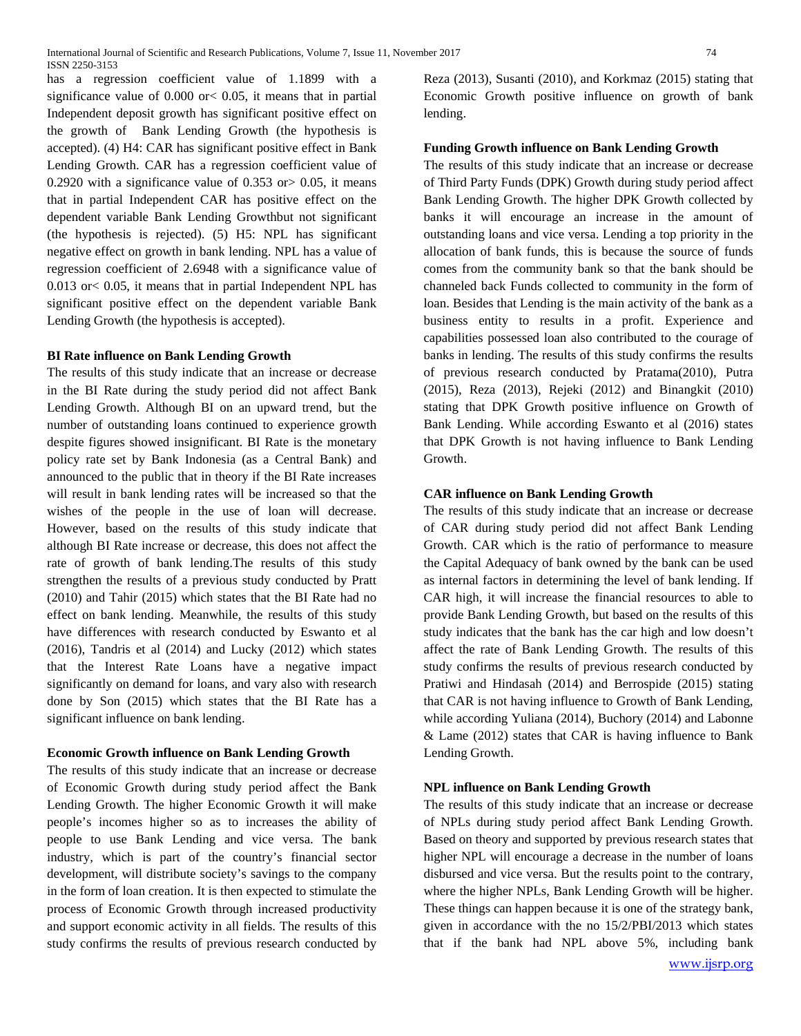has a regression coefficient value of 1.1899 with a significance value of 0.000 or< 0.05, it means that in partial Independent deposit growth has significant positive effect on the growth of Bank Lending Growth (the hypothesis is accepted). (4) H4: CAR has significant positive effect in Bank Lending Growth. CAR has a regression coefficient value of 0.2920 with a significance value of 0.353 or  $> 0.05$ , it means that in partial Independent CAR has positive effect on the dependent variable Bank Lending Growthbut not significant (the hypothesis is rejected). (5) H5: NPL has significant negative effect on growth in bank lending. NPL has a value of regression coefficient of 2.6948 with a significance value of 0.013 or< 0.05, it means that in partial Independent NPL has significant positive effect on the dependent variable Bank Lending Growth (the hypothesis is accepted).

### **BI Rate influence on Bank Lending Growth**

The results of this study indicate that an increase or decrease in the BI Rate during the study period did not affect Bank Lending Growth. Although BI on an upward trend, but the number of outstanding loans continued to experience growth despite figures showed insignificant. BI Rate is the monetary policy rate set by Bank Indonesia (as a Central Bank) and announced to the public that in theory if the BI Rate increases will result in bank lending rates will be increased so that the wishes of the people in the use of loan will decrease. However, based on the results of this study indicate that although BI Rate increase or decrease, this does not affect the rate of growth of bank lending.The results of this study strengthen the results of a previous study conducted by Pratt (2010) and Tahir (2015) which states that the BI Rate had no effect on bank lending. Meanwhile, the results of this study have differences with research conducted by Eswanto et al (2016), Tandris et al (2014) and Lucky (2012) which states that the Interest Rate Loans have a negative impact significantly on demand for loans, and vary also with research done by Son (2015) which states that the BI Rate has a significant influence on bank lending.

# **Economic Growth influence on Bank Lending Growth**

The results of this study indicate that an increase or decrease of Economic Growth during study period affect the Bank Lending Growth. The higher Economic Growth it will make people's incomes higher so as to increases the ability of people to use Bank Lending and vice versa. The bank industry, which is part of the country's financial sector development, will distribute society's savings to the company in the form of loan creation. It is then expected to stimulate the process of Economic Growth through increased productivity and support economic activity in all fields. The results of this study confirms the results of previous research conducted by

Reza (2013), Susanti (2010), and Korkmaz (2015) stating that Economic Growth positive influence on growth of bank lending.

## **Funding Growth influence on Bank Lending Growth**

The results of this study indicate that an increase or decrease of Third Party Funds (DPK) Growth during study period affect Bank Lending Growth. The higher DPK Growth collected by banks it will encourage an increase in the amount of outstanding loans and vice versa. Lending a top priority in the allocation of bank funds, this is because the source of funds comes from the community bank so that the bank should be channeled back Funds collected to community in the form of loan. Besides that Lending is the main activity of the bank as a business entity to results in a profit. Experience and capabilities possessed loan also contributed to the courage of banks in lending. The results of this study confirms the results of previous research conducted by Pratama(2010), Putra (2015), Reza (2013), Rejeki (2012) and Binangkit (2010) stating that DPK Growth positive influence on Growth of Bank Lending. While according Eswanto et al (2016) states that DPK Growth is not having influence to Bank Lending Growth.

### **CAR influence on Bank Lending Growth**

The results of this study indicate that an increase or decrease of CAR during study period did not affect Bank Lending Growth. CAR which is the ratio of performance to measure the Capital Adequacy of bank owned by the bank can be used as internal factors in determining the level of bank lending. If CAR high, it will increase the financial resources to able to provide Bank Lending Growth, but based on the results of this study indicates that the bank has the car high and low doesn't affect the rate of Bank Lending Growth. The results of this study confirms the results of previous research conducted by Pratiwi and Hindasah (2014) and Berrospide (2015) stating that CAR is not having influence to Growth of Bank Lending, while according Yuliana (2014), Buchory (2014) and Labonne & Lame (2012) states that CAR is having influence to Bank Lending Growth.

#### **NPL influence on Bank Lending Growth**

[www.ijsrp.org](http://ijsrp.org/) The results of this study indicate that an increase or decrease of NPLs during study period affect Bank Lending Growth. Based on theory and supported by previous research states that higher NPL will encourage a decrease in the number of loans disbursed and vice versa. But the results point to the contrary, where the higher NPLs, Bank Lending Growth will be higher. These things can happen because it is one of the strategy bank, given in accordance with the no 15/2/PBI/2013 which states that if the bank had NPL above 5%, including bank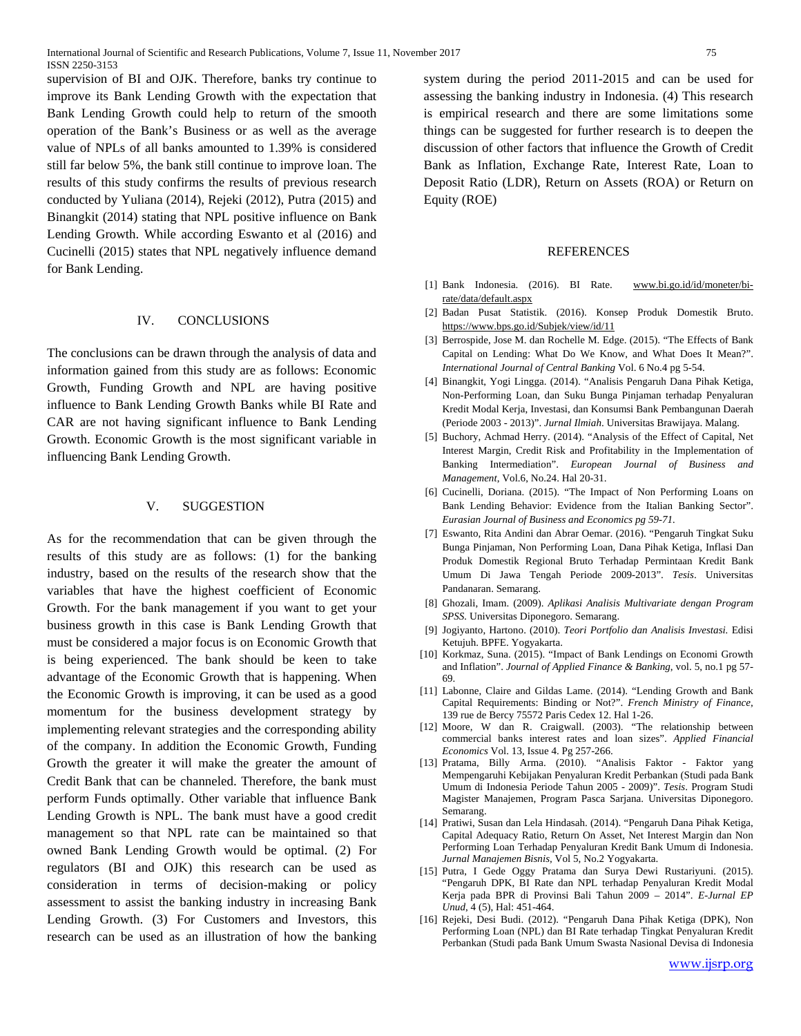supervision of BI and OJK. Therefore, banks try continue to improve its Bank Lending Growth with the expectation that Bank Lending Growth could help to return of the smooth operation of the Bank's Business or as well as the average value of NPLs of all banks amounted to 1.39% is considered still far below 5%, the bank still continue to improve loan. The results of this study confirms the results of previous research conducted by Yuliana (2014), Rejeki (2012), Putra (2015) and Binangkit (2014) stating that NPL positive influence on Bank Lending Growth. While according Eswanto et al (2016) and Cucinelli (2015) states that NPL negatively influence demand for Bank Lending.

#### IV. CONCLUSIONS

The conclusions can be drawn through the analysis of data and information gained from this study are as follows: Economic Growth, Funding Growth and NPL are having positive influence to Bank Lending Growth Banks while BI Rate and CAR are not having significant influence to Bank Lending Growth. Economic Growth is the most significant variable in influencing Bank Lending Growth.

# V. SUGGESTION

As for the recommendation that can be given through the results of this study are as follows: (1) for the banking industry, based on the results of the research show that the variables that have the highest coefficient of Economic Growth. For the bank management if you want to get your business growth in this case is Bank Lending Growth that must be considered a major focus is on Economic Growth that is being experienced. The bank should be keen to take advantage of the Economic Growth that is happening. When the Economic Growth is improving, it can be used as a good momentum for the business development strategy by implementing relevant strategies and the corresponding ability of the company. In addition the Economic Growth, Funding Growth the greater it will make the greater the amount of Credit Bank that can be channeled. Therefore, the bank must perform Funds optimally. Other variable that influence Bank Lending Growth is NPL. The bank must have a good credit management so that NPL rate can be maintained so that owned Bank Lending Growth would be optimal. (2) For regulators (BI and OJK) this research can be used as consideration in terms of decision-making or policy assessment to assist the banking industry in increasing Bank Lending Growth. (3) For Customers and Investors, this research can be used as an illustration of how the banking

system during the period 2011-2015 and can be used for assessing the banking industry in Indonesia. (4) This research is empirical research and there are some limitations some things can be suggested for further research is to deepen the discussion of other factors that influence the Growth of Credit Bank as Inflation, Exchange Rate, Interest Rate, Loan to Deposit Ratio (LDR), Return on Assets (ROA) or Return on Equity (ROE)

#### **REFERENCES**

- [1] Bank Indonesia. (2016). BI Rate. [www.bi.go.id/id/moneter/bi](http://www.bi.go.id/id/moneter/bi-rate/data/default.aspx)[rate/data/default.aspx](http://www.bi.go.id/id/moneter/bi-rate/data/default.aspx)
- [2] Badan Pusat Statistik. (2016). Konsep Produk Domestik Bruto. <https://www.bps.go.id/Subjek/view/id/11>
- [3] Berrospide, Jose M. dan Rochelle M. Edge. (2015). "The Effects of Bank Capital on Lending: What Do We Know, and What Does It Mean?". *International Journal of Central Banking* Vol. 6 No.4 pg 5-54.
- [4] Binangkit, Yogi Lingga. (2014). "Analisis Pengaruh Dana Pihak Ketiga, Non-Performing Loan, dan Suku Bunga Pinjaman terhadap Penyaluran Kredit Modal Kerja, Investasi, dan Konsumsi Bank Pembangunan Daerah (Periode 2003 - 2013)". *Jurnal Ilmiah*. Universitas Brawijaya. Malang.
- [5] Buchory, Achmad Herry. (2014). "Analysis of the Effect of Capital, Net Interest Margin, Credit Risk and Profitability in the Implementation of Banking Intermediation". *European Journal of Business and Management*, Vol.6, No.24. Hal 20-31.
- [6] Cucinelli, Doriana. (2015). "The Impact of Non Performing Loans on Bank Lending Behavior: Evidence from the Italian Banking Sector". *Eurasian Journal of Business and Economics pg 59-71.*
- [7] Eswanto, Rita Andini dan Abrar Oemar. (2016). "Pengaruh Tingkat Suku Bunga Pinjaman, Non Performing Loan, Dana Pihak Ketiga, Inflasi Dan Produk Domestik Regional Bruto Terhadap Permintaan Kredit Bank Umum Di Jawa Tengah Periode 2009-2013". *Tesis*. Universitas Pandanaran. Semarang.
- [8] Ghozali, Imam. (2009). *Aplikasi Analisis Multivariate dengan Program SPSS.* Universitas Diponegoro. Semarang.
- [9] Jogiyanto, Hartono. (2010). *Teori Portfolio dan Analisis Investasi.* Edisi Ketujuh. BPFE. Yogyakarta.
- [10] Korkmaz, Suna. (2015). "Impact of Bank Lendings on Economi Growth and Inflation". *Journal of Applied Finance & Banking*, vol. 5, no.1 pg 57- 69.
- [11] Labonne, Claire and Gildas Lame. (2014). "Lending Growth and Bank Capital Requirements: Binding or Not?". *French Ministry of Finance*, 139 rue de Bercy 75572 Paris Cedex 12. Hal 1-26.
- [12] Moore, W dan R. Craigwall. (2003). "The relationship between commercial banks interest rates and loan sizes". *Applied Financial Economics* Vol. 13, Issue 4. Pg 257-266.
- [13] Pratama, Billy Arma. (2010). "Analisis Faktor Faktor yang Mempengaruhi Kebijakan Penyaluran Kredit Perbankan (Studi pada Bank Umum di Indonesia Periode Tahun 2005 - 2009)". *Tesis*. Program Studi Magister Manajemen, Program Pasca Sarjana. Universitas Diponegoro. Semarang.
- [14] Pratiwi, Susan dan Lela Hindasah. (2014). "Pengaruh Dana Pihak Ketiga, Capital Adequacy Ratio, Return On Asset, Net Interest Margin dan Non Performing Loan Terhadap Penyaluran Kredit Bank Umum di Indonesia. *Jurnal Manajemen Bisnis,* Vol 5, No.2 Yogyakarta.
- [15] Putra, I Gede Oggy Pratama dan Surya Dewi Rustariyuni. (2015). "Pengaruh DPK, BI Rate dan NPL terhadap Penyaluran Kredit Modal Kerja pada BPR di Provinsi Bali Tahun 2009 – 2014". *E-Jurnal EP Unud*, 4 (5), Hal: 451-464.
- [16] Rejeki, Desi Budi. (2012). "Pengaruh Dana Pihak Ketiga (DPK), Non Performing Loan (NPL) dan BI Rate terhadap Tingkat Penyaluran Kredit Perbankan (Studi pada Bank Umum Swasta Nasional Devisa di Indonesia